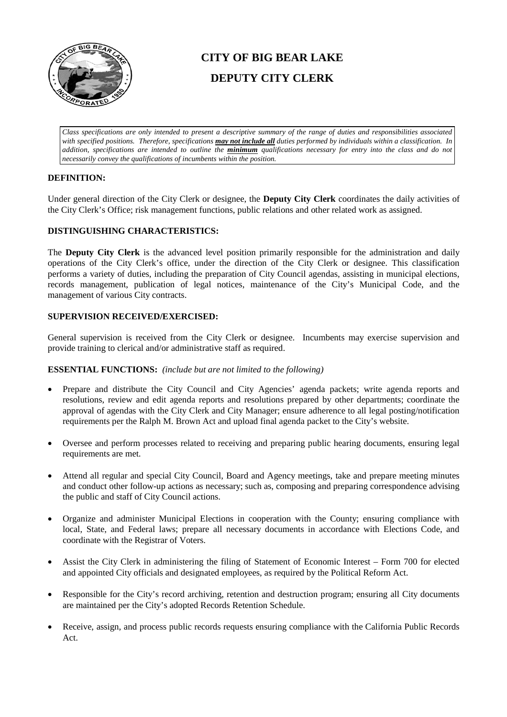

# **CITY OF BIG BEAR LAKE DEPUTY CITY CLERK**

*Class specifications are only intended to present a descriptive summary of the range of duties and responsibilities associated with specified positions. Therefore, specifications may not include all duties performed by individuals within a classification. In addition, specifications are intended to outline the minimum qualifications necessary for entry into the class and do not necessarily convey the qualifications of incumbents within the position.*

# **DEFINITION:**

Under general direction of the City Clerk or designee, the **Deputy City Clerk** coordinates the daily activities of the City Clerk's Office; risk management functions, public relations and other related work as assigned.

## **DISTINGUISHING CHARACTERISTICS:**

The **Deputy City Clerk** is the advanced level position primarily responsible for the administration and daily operations of the City Clerk's office, under the direction of the City Clerk or designee. This classification performs a variety of duties, including the preparation of City Council agendas, assisting in municipal elections, records management, publication of legal notices, maintenance of the City's Municipal Code, and the management of various City contracts.

## **SUPERVISION RECEIVED/EXERCISED:**

General supervision is received from the City Clerk or designee. Incumbents may exercise supervision and provide training to clerical and/or administrative staff as required.

## **ESSENTIAL FUNCTIONS:** *(include but are not limited to the following)*

- Prepare and distribute the City Council and City Agencies' agenda packets; write agenda reports and resolutions, review and edit agenda reports and resolutions prepared by other departments; coordinate the approval of agendas with the City Clerk and City Manager; ensure adherence to all legal posting/notification requirements per the Ralph M. Brown Act and upload final agenda packet to the City's website.
- Oversee and perform processes related to receiving and preparing public hearing documents, ensuring legal requirements are met.
- Attend all regular and special City Council, Board and Agency meetings, take and prepare meeting minutes and conduct other follow-up actions as necessary; such as, composing and preparing correspondence advising the public and staff of City Council actions.
- Organize and administer Municipal Elections in cooperation with the County; ensuring compliance with local, State, and Federal laws; prepare all necessary documents in accordance with Elections Code, and coordinate with the Registrar of Voters.
- Assist the City Clerk in administering the filing of Statement of Economic Interest Form 700 for elected and appointed City officials and designated employees, as required by the Political Reform Act.
- Responsible for the City's record archiving, retention and destruction program; ensuring all City documents are maintained per the City's adopted Records Retention Schedule.
- Receive, assign, and process public records requests ensuring compliance with the California Public Records Act.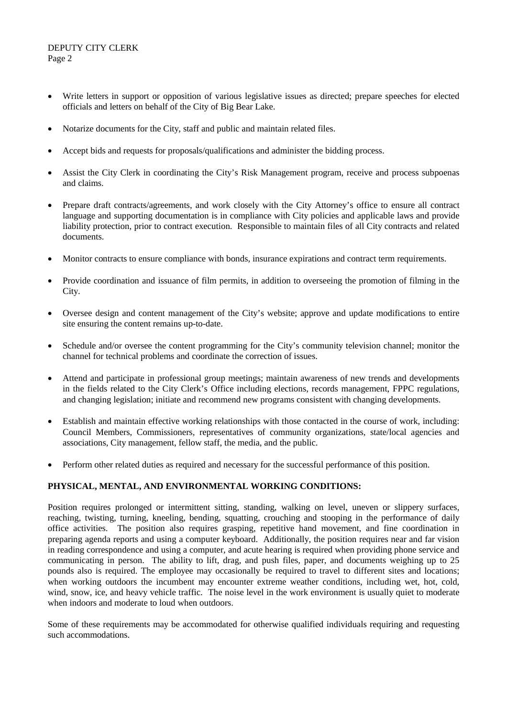## DEPUTY CITY CLERK Page 2

- Write letters in support or opposition of various legislative issues as directed; prepare speeches for elected officials and letters on behalf of the City of Big Bear Lake.
- Notarize documents for the City, staff and public and maintain related files.
- Accept bids and requests for proposals/qualifications and administer the bidding process.
- Assist the City Clerk in coordinating the City's Risk Management program, receive and process subpoenas and claims.
- Prepare draft contracts/agreements, and work closely with the City Attorney's office to ensure all contract language and supporting documentation is in compliance with City policies and applicable laws and provide liability protection, prior to contract execution. Responsible to maintain files of all City contracts and related documents.
- Monitor contracts to ensure compliance with bonds, insurance expirations and contract term requirements.
- Provide coordination and issuance of film permits, in addition to overseeing the promotion of filming in the City.
- Oversee design and content management of the City's website; approve and update modifications to entire site ensuring the content remains up-to-date.
- Schedule and/or oversee the content programming for the City's community television channel; monitor the channel for technical problems and coordinate the correction of issues.
- Attend and participate in professional group meetings; maintain awareness of new trends and developments in the fields related to the City Clerk's Office including elections, records management, FPPC regulations, and changing legislation; initiate and recommend new programs consistent with changing developments.
- Establish and maintain effective working relationships with those contacted in the course of work, including: Council Members, Commissioners, representatives of community organizations, state/local agencies and associations, City management, fellow staff, the media, and the public.
- Perform other related duties as required and necessary for the successful performance of this position.

# **PHYSICAL, MENTAL, AND ENVIRONMENTAL WORKING CONDITIONS:**

Position requires prolonged or intermittent sitting, standing, walking on level, uneven or slippery surfaces, reaching, twisting, turning, kneeling, bending, squatting, crouching and stooping in the performance of daily office activities. The position also requires grasping, repetitive hand movement, and fine coordination in preparing agenda reports and using a computer keyboard. Additionally, the position requires near and far vision in reading correspondence and using a computer, and acute hearing is required when providing phone service and communicating in person. The ability to lift, drag, and push files, paper, and documents weighing up to 25 pounds also is required. The employee may occasionally be required to travel to different sites and locations; when working outdoors the incumbent may encounter extreme weather conditions, including wet, hot, cold, wind, snow, ice, and heavy vehicle traffic. The noise level in the work environment is usually quiet to moderate when indoors and moderate to loud when outdoors.

Some of these requirements may be accommodated for otherwise qualified individuals requiring and requesting such accommodations.